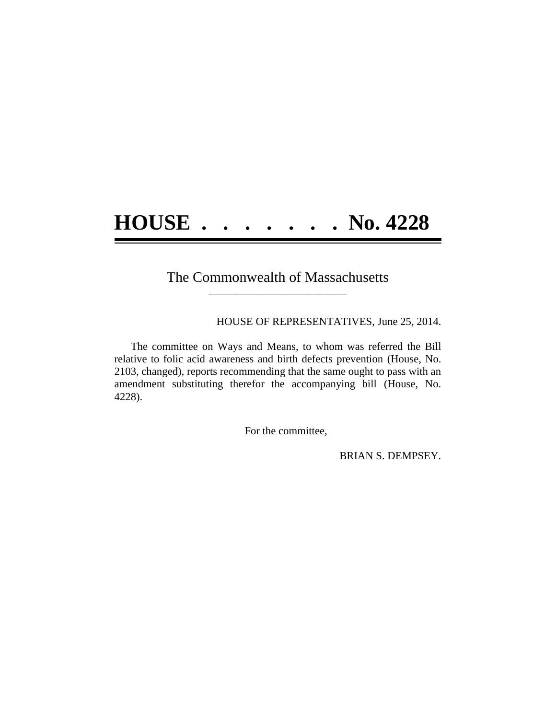## **HOUSE . . . . . . . No. 4228**

## The Commonwealth of Massachusetts **\_\_\_\_\_\_\_\_\_\_\_\_\_\_\_\_\_\_\_\_\_\_\_\_\_\_\_\_\_\_\_\_\_\_\_\_\_\_**

HOUSE OF REPRESENTATIVES, June 25, 2014.

The committee on Ways and Means, to whom was referred the Bill relative to folic acid awareness and birth defects prevention (House, No. 2103, changed), reports recommending that the same ought to pass with an amendment substituting therefor the accompanying bill (House, No. 4228).

For the committee,

BRIAN S. DEMPSEY.